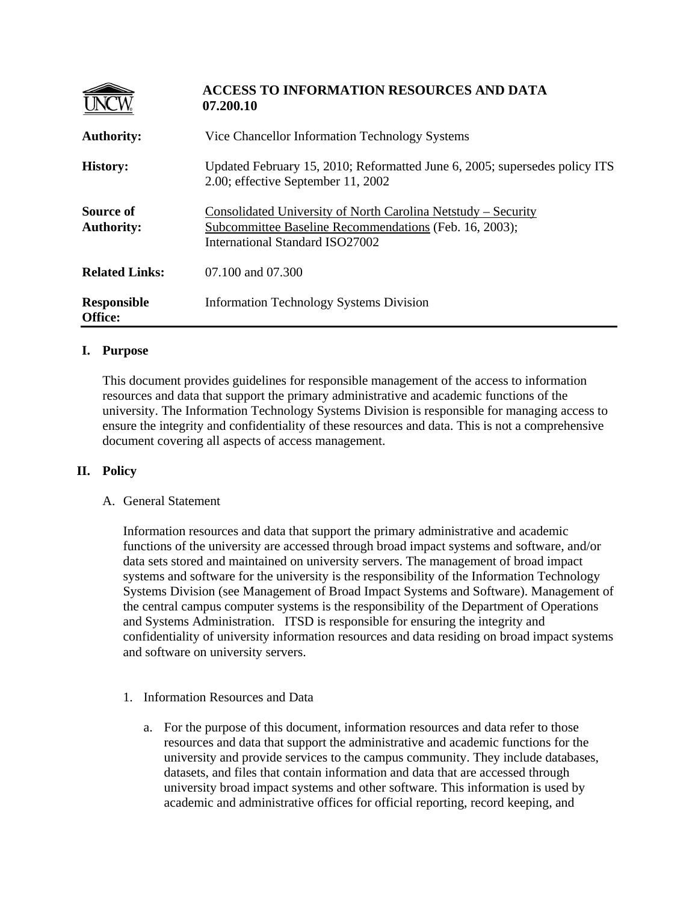|                                       | <b>ACCESS TO INFORMATION RESOURCES AND DATA</b><br>07.200.10                                                                                               |
|---------------------------------------|------------------------------------------------------------------------------------------------------------------------------------------------------------|
| <b>Authority:</b>                     | Vice Chancellor Information Technology Systems                                                                                                             |
| <b>History:</b>                       | Updated February 15, 2010; Reformatted June 6, 2005; supersedes policy ITS<br>2.00; effective September 11, 2002                                           |
| <b>Source of</b><br><b>Authority:</b> | Consolidated University of North Carolina Netstudy - Security<br>Subcommittee Baseline Recommendations (Feb. 16, 2003);<br>International Standard ISO27002 |
| <b>Related Links:</b>                 | 07.100 and 07.300                                                                                                                                          |
| <b>Responsible</b><br>Office:         | <b>Information Technology Systems Division</b>                                                                                                             |

## **I. Purpose**

This document provides guidelines for responsible management of the access to information resources and data that support the primary administrative and academic functions of the university. The Information Technology Systems Division is responsible for managing access to ensure the integrity and confidentiality of these resources and data. This is not a comprehensive document covering all aspects of access management.

## **II. Policy**

## A. General Statement

Information resources and data that support the primary administrative and academic functions of the university are accessed through broad impact systems and software, and/or data sets stored and maintained on university servers. The management of broad impact systems and software for the university is the responsibility of the Information Technology Systems Division (see Management of Broad Impact Systems and Software). Management of the central campus computer systems is the responsibility of the Department of Operations and Systems Administration. ITSD is responsible for ensuring the integrity and confidentiality of university information resources and data residing on broad impact systems and software on university servers.

- 1. Information Resources and Data
	- a. For the purpose of this document, information resources and data refer to those resources and data that support the administrative and academic functions for the university and provide services to the campus community. They include databases, datasets, and files that contain information and data that are accessed through university broad impact systems and other software. This information is used by academic and administrative offices for official reporting, record keeping, and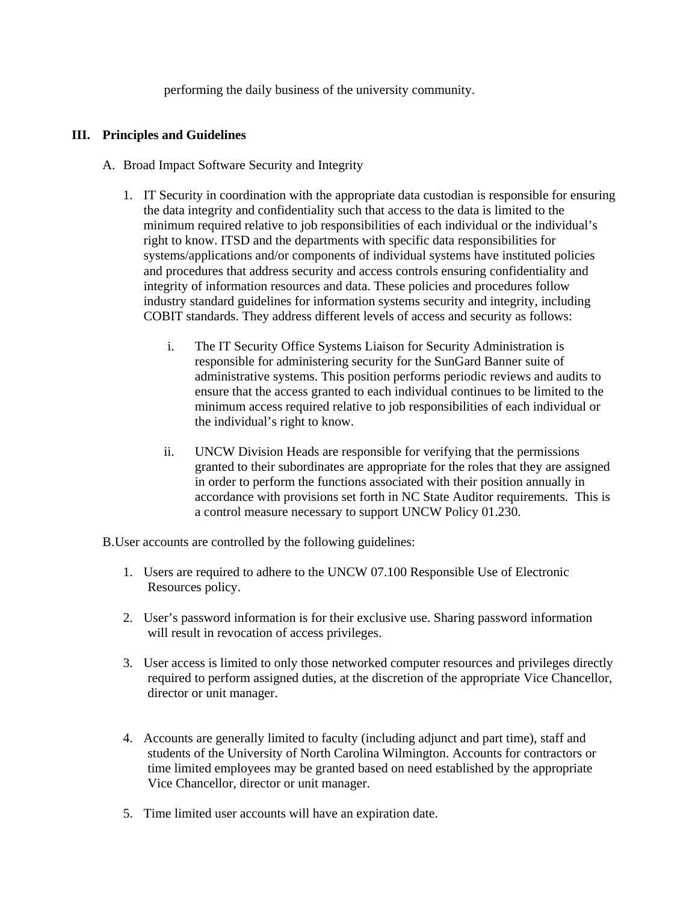performing the daily business of the university community.

## **III. Principles and Guidelines**

- A. Broad Impact Software Security and Integrity
	- 1. IT Security in coordination with the appropriate data custodian is responsible for ensuring the data integrity and confidentiality such that access to the data is limited to the minimum required relative to job responsibilities of each individual or the individual's right to know. ITSD and the departments with specific data responsibilities for systems/applications and/or components of individual systems have instituted policies and procedures that address security and access controls ensuring confidentiality and integrity of information resources and data. These policies and procedures follow industry standard guidelines for information systems security and integrity, including COBIT standards. They address different levels of access and security as follows:
		- i. The IT Security Office Systems Liaison for Security Administration is responsible for administering security for the SunGard Banner suite of administrative systems. This position performs periodic reviews and audits to ensure that the access granted to each individual continues to be limited to the minimum access required relative to job responsibilities of each individual or the individual's right to know.
		- ii. UNCW Division Heads are responsible for verifying that the permissions granted to their subordinates are appropriate for the roles that they are assigned in order to perform the functions associated with their position annually in accordance with provisions set forth in NC State Auditor requirements. This is a control measure necessary to support UNCW Policy 01.230.

B.User accounts are controlled by the following guidelines:

- 1. Users are required to adhere to the UNCW 07.100 Responsible Use of Electronic Resources policy.
- 2. User's password information is for their exclusive use. Sharing password information will result in revocation of access privileges.
- 3. User access is limited to only those networked computer resources and privileges directly required to perform assigned duties, at the discretion of the appropriate Vice Chancellor, director or unit manager.
- 4. Accounts are generally limited to faculty (including adjunct and part time), staff and students of the University of North Carolina Wilmington. Accounts for contractors or time limited employees may be granted based on need established by the appropriate Vice Chancellor, director or unit manager.
- 5. Time limited user accounts will have an expiration date.